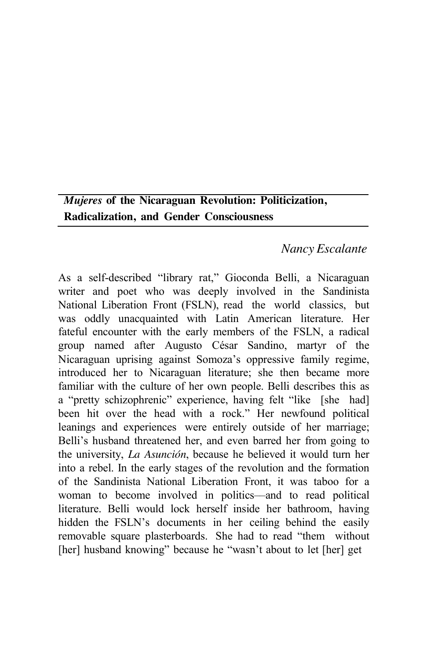# *Mujeres* **of the Nicaraguan Revolution: Politicization, Radicalization, and Gender Consciousness**

## *Nancy Escalante*

As a self-described "library rat," Gioconda Belli, a Nicaraguan writer and poet who was deeply involved in the Sandinista National Liberation Front (FSLN), read the world classics, but was oddly unacquainted with Latin American literature. Her fateful encounter with the early members of the FSLN, a radical group named after Augusto César Sandino, martyr of the Nicaraguan uprising against Somoza's oppressive family regime, introduced her to Nicaraguan literature; she then became more familiar with the culture of her own people. Belli describes this as a "pretty schizophrenic" experience, having felt "like [she had] been hit over the head with a rock." Her newfound political leanings and experiences were entirely outside of her marriage; Belli's husband threatened her, and even barred her from going to the university, *La Asunción*, because he believed it would turn her into a rebel. In the early stages of the revolution and the formation of the Sandinista National Liberation Front, it was taboo for a woman to become involved in politics––and to read political literature. Belli would lock herself inside her bathroom, having hidden the FSLN's documents in her ceiling behind the easily removable square plasterboards. She had to read "them without [her] husband knowing" because he "wasn't about to let [her] get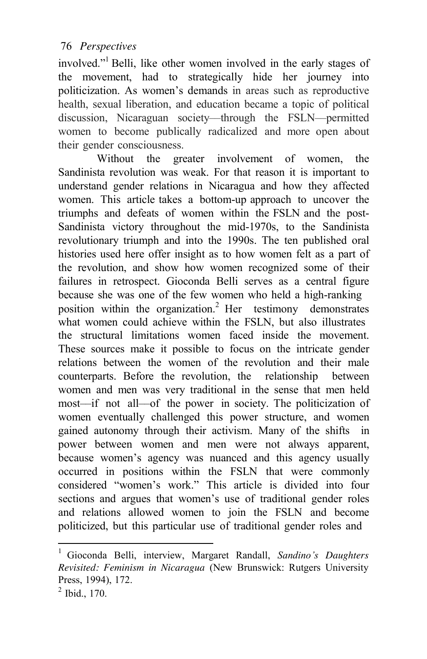involved."1 Belli, like other women involved in the early stages of the movement, had to strategically hide her journey into politicization. As women's demands in areas such as reproductive health, sexual liberation, and education became a topic of political discussion, Nicaraguan society––through the FSLN––permitted women to become publically radicalized and more open about their gender consciousness.

Without the greater involvement of women, the Sandinista revolution was weak. For that reason it is important to understand gender relations in Nicaragua and how they affected women. This article takes a bottom-up approach to uncover the triumphs and defeats of women within the FSLN and the post-Sandinista victory throughout the mid-1970s, to the Sandinista revolutionary triumph and into the 1990s. The ten published oral histories used here offer insight as to how women felt as a part of the revolution, and show how women recognized some of their failures in retrospect. Gioconda Belli serves as a central figure because she was one of the few women who held a high-ranking position within the organization.<sup>2</sup> Her testimony demonstrates what women could achieve within the FSLN, but also illustrates the structural limitations women faced inside the movement. These sources make it possible to focus on the intricate gender relations between the women of the revolution and their male counterparts. Before the revolution, the relationship between women and men was very traditional in the sense that men held most––if not all––of the power in society. The politicization of women eventually challenged this power structure, and women gained autonomy through their activism. Many of the shifts in power between women and men were not always apparent, because women's agency was nuanced and this agency usually occurred in positions within the FSLN that were commonly considered "women's work." This article is divided into four sections and argues that women's use of traditional gender roles and relations allowed women to join the FSLN and become politicized, but this particular use of traditional gender roles and

<sup>1</sup> Gioconda Belli, interview, Margaret Randall, *Sandino's Daughters Revisited: Feminism in Nicaragua* (New Brunswick: Rutgers University Press, 1994), 172.

 $^{2}$  Ibid., 170.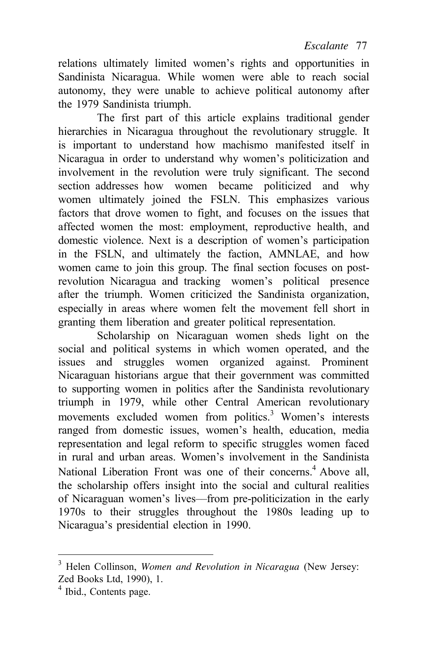relations ultimately limited women's rights and opportunities in Sandinista Nicaragua. While women were able to reach social autonomy, they were unable to achieve political autonomy after the 1979 Sandinista triumph.

The first part of this article explains traditional gender hierarchies in Nicaragua throughout the revolutionary struggle. It is important to understand how machismo manifested itself in Nicaragua in order to understand why women's politicization and involvement in the revolution were truly significant. The second section addresses how women became politicized and why women ultimately joined the FSLN. This emphasizes various factors that drove women to fight, and focuses on the issues that affected women the most: employment, reproductive health, and domestic violence. Next is a description of women's participation in the FSLN, and ultimately the faction, AMNLAE, and how women came to join this group. The final section focuses on postrevolution Nicaragua and tracking women's political presence after the triumph. Women criticized the Sandinista organization, especially in areas where women felt the movement fell short in granting them liberation and greater political representation.

Scholarship on Nicaraguan women sheds light on the social and political systems in which women operated, and the issues and struggles women organized against. Prominent Nicaraguan historians argue that their government was committed to supporting women in politics after the Sandinista revolutionary triumph in 1979, while other Central American revolutionary movements excluded women from politics.<sup>3</sup> Women's interests ranged from domestic issues, women's health, education, media representation and legal reform to specific struggles women faced in rural and urban areas. Women's involvement in the Sandinista National Liberation Front was one of their concerns.<sup>4</sup> Above all, the scholarship offers insight into the social and cultural realities of Nicaraguan women's lives––from pre-politicization in the early 1970s to their struggles throughout the 1980s leading up to Nicaragua's presidential election in 1990.

<sup>3</sup> Helen Collinson, *Women and Revolution in Nicaragua* (New Jersey: Zed Books Ltd, 1990), 1.

<sup>4</sup> Ibid., Contents page.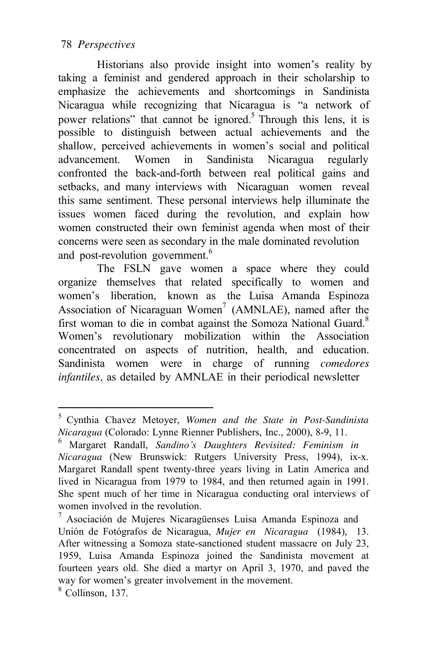Historians also provide insight into women's reality by taking a feminist and gendered approach in their scholarship to emphasize the achievements and shortcomings in Sandinista Nicaragua while recognizing that Nicaragua is "a network of power relations" that cannot be ignored.<sup>5</sup> Through this lens, it is possible to distinguish between actual achievements and the shallow, perceived achievements in women's social and political advancement. Women in Sandinista Nicaragua regularly confronted the back-and-forth between real political gains and setbacks, and many interviews with Nicaraguan women reveal this same sentiment. These personal interviews help illuminate the issues women faced during the revolution, and explain how women constructed their own feminist agenda when most of their concerns were seen as secondary in the male dominated revolution and post-revolution government.<sup>6</sup>

The FSLN gave women a space where they could organize themselves that related specifically to women and women's liberation, known as the Luisa Amanda Espinoza Association of Nicaraguan Women<sup>7</sup> (AMNLAE), named after the first woman to die in combat against the Somoza National Guard. $8$ Women's revolutionary mobilization within the Association concentrated on aspects of nutrition, health, and education. Sandinista women were in charge of running *comedores infantiles,* as detailed by AMNLAE in their periodical newsletter

<sup>5</sup> Cynthia Chavez Metoyer, *Women and the State in Post-Sandinista Nicaragua* (Colorado: Lynne Rienner Publishers, Inc., 2000), 8-9, 11. 6 Margaret Randall, *Sandino's Daughters Revisited: Feminism in*

*Nicaragua* (New Brunswick: Rutgers University Press, 1994), ix-x. Margaret Randall spent twenty-three years living in Latin America and lived in Nicaragua from 1979 to 1984, and then returned again in 1991. She spent much of her time in Nicaragua conducting oral interviews of women involved in the revolution.<br><sup>7</sup> Asociación de Mujeres Nicaragüenses Luisa Amanda Espinoza and

Unión de Fotógrafos de Nicaragua, *Mujer en Nicaragua* (1984), 13. After witnessing a Somoza state-sanctioned student massacre on July 23, 1959, Luisa Amanda Espinoza joined the Sandinista movement at fourteen years old. She died a martyr on April 3, 1970, and paved the way for women's greater involvement in the movement. <sup>8</sup> Collinson, 137.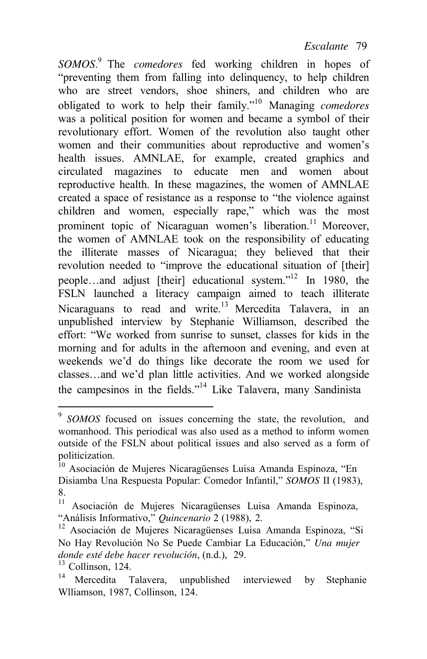*SOMOS*. 9 The *comedores* fed working children in hopes of "preventing them from falling into delinquency, to help children who are street vendors, shoe shiners, and children who are obligated to work to help their family."10 Managing *comedores* was a political position for women and became a symbol of their revolutionary effort. Women of the revolution also taught other women and their communities about reproductive and women's health issues. AMNLAE, for example, created graphics and circulated magazines to educate men and women about reproductive health. In these magazines, the women of AMNLAE created a space of resistance as a response to "the violence against children and women, especially rape," which was the most prominent topic of Nicaraguan women's liberation.<sup>11</sup> Moreover, the women of AMNLAE took on the responsibility of educating the illiterate masses of Nicaragua; they believed that their revolution needed to "improve the educational situation of [their] people…and adjust [their] educational system."<sup>12</sup> In 1980, the FSLN launched a literacy campaign aimed to teach illiterate Nicaraguans to read and write.<sup>13</sup> Mercedita Talavera, in an unpublished interview by Stephanie Williamson, described the effort: "We worked from sunrise to sunset, classes for kids in the morning and for adults in the afternoon and evening, and even at weekends we'd do things like decorate the room we used for classes…and we'd plan little activities. And we worked alongside the campesinos in the fields."14 Like Talavera, many Sandinista

<sup>&</sup>lt;sup>9</sup> SOMOS focused on issues concerning the state, the revolution, and womanhood. This periodical was also used as a method to inform women outside of the FSLN about political issues and also served as a form of politicization.

<sup>&</sup>lt;sup>10</sup> Asociación de Mujeres Nicaragüenses Luisa Amanda Espinoza, "En Disiamba Una Respuesta Popular: Comedor Infantil," *SOMOS* II (1983),  $8.11$ 

<sup>&</sup>lt;sup>11</sup> Asociación de Mujeres Nicaragüenses Luisa Amanda Espinoza, "Análisis Informativo," Quincenario 2 (1988), 2.

<sup>&</sup>lt;sup>12</sup> Asociación de Mujeres Nicaragüenses Luisa Amanda Espinoza, "Si No Hay Revolución No Se Puede Cambiar La Educación," *Una mujer donde esté debe hacer revolución*, (n.d.), 29. 13 Collinson, 124.

Mercedita Talavera, unpublished interviewed by Stephanie Wlliamson, 1987, Collinson, 124.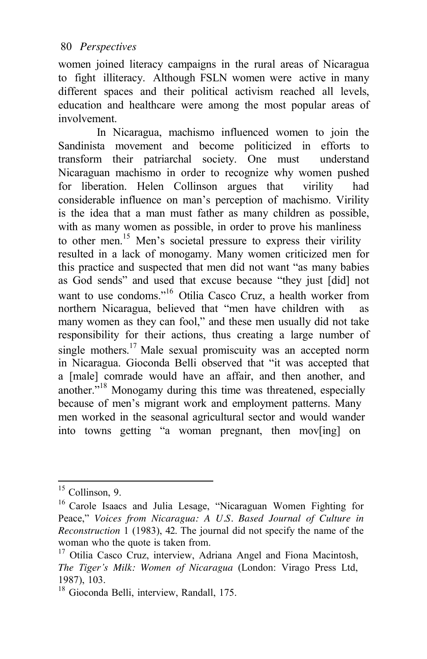women joined literacy campaigns in the rural areas of Nicaragua to fight illiteracy. Although FSLN women were active in many different spaces and their political activism reached all levels, education and healthcare were among the most popular areas of involvement.

In Nicaragua, machismo influenced women to join the Sandinista movement and become politicized in efforts to transform their patriarchal society. One must understand Nicaraguan machismo in order to recognize why women pushed for liberation. Helen Collinson argues that virility had considerable influence on man's perception of machismo. Virility is the idea that a man must father as many children as possible, with as many women as possible, in order to prove his manliness to other men.<sup>15</sup> Men's societal pressure to express their virility resulted in a lack of monogamy. Many women criticized men for this practice and suspected that men did not want "as many babies as God sends" and used that excuse because "they just [did] not want to use condoms."<sup>16</sup> Otilia Casco Cruz, a health worker from northern Nicaragua, believed that "men have children with as many women as they can fool," and these men usually did not take responsibility for their actions, thus creating a large number of single mothers.<sup>17</sup> Male sexual promiscuity was an accepted norm in Nicaragua. Gioconda Belli observed that "it was accepted that a [male] comrade would have an affair, and then another, and another.<sup>718</sup> Monogamy during this time was threatened, especially because of men's migrant work and employment patterns. Many men worked in the seasonal agricultural sector and would wander into towns getting "a woman pregnant, then mov[ing] on

 $15$  Collinson, 9.

<sup>16</sup> Carole Isaacs and Julia Lesage, "Nicaraguan Women Fighting for Peace," *Voices from Nicaragua: A U.S. Based Journal of Culture in Reconstruction* 1 (1983), 42. The journal did not specify the name of the

<sup>&</sup>lt;sup>17</sup> Otilia Casco Cruz, interview, Adriana Angel and Fiona Macintosh, *The Tiger's Milk: Women of Nicaragua* (London: Virago Press Ltd, 1987), 103.

<sup>18</sup> Gioconda Belli, interview, Randall, 175.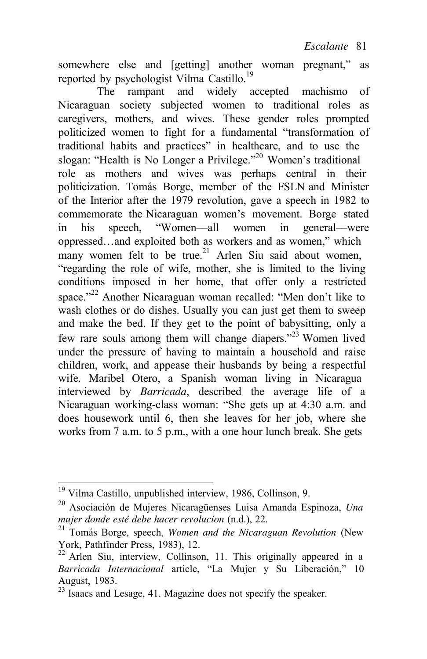somewhere else and [getting] another woman pregnant," as reported by psychologist Vilma Castillo.<sup>19</sup>

The rampant and widely accepted machismo of Nicaraguan society subjected women to traditional roles as caregivers, mothers, and wives. These gender roles prompted politicized women to fight for a fundamental "transformation of traditional habits and practices" in healthcare, and to use the slogan: "Health is No Longer a Privilege."<sup>20</sup> Women's traditional role as mothers and wives was perhaps central in their politicization. Tomás Borge, member of the FSLN and Minister of the Interior after the 1979 revolution, gave a speech in 1982 to commemorate the Nicaraguan women's movement. Borge stated in his speech, "Women––all women in general––were oppressed…and exploited both as workers and as women," which many women felt to be true.<sup>21</sup> Arlen Siu said about women, "regarding the role of wife, mother, she is limited to the living conditions imposed in her home, that offer only a restricted space."<sup>22</sup> Another Nicaraguan woman recalled: "Men don't like to wash clothes or do dishes. Usually you can just get them to sweep and make the bed. If they get to the point of babysitting, only a few rare souls among them will change diapers."<sup>23</sup> Women lived under the pressure of having to maintain a household and raise children, work, and appease their husbands by being a respectful wife. Maribel Otero, a Spanish woman living in Nicaragua interviewed by *Barricada*, described the average life of a Nicaraguan working-class woman: "She gets up at 4:30 a.m. and does housework until 6, then she leaves for her job, where she works from 7 a.m. to 5 p.m., with a one hour lunch break. She gets

<sup>19</sup> Vilma Castillo, unpublished interview, 1986, Collinson, 9.

<sup>20</sup> Asociación de Mujeres Nicaragüenses Luisa Amanda Espinoza, *Una* 

<sup>&</sup>lt;sup>21</sup> Tomás Borge, speech, *Women and the Nicaraguan Revolution* (New York, Pathfinder Press, 1983), 12.

 $22$  Arlen Siu, interview, Collinson, 11. This originally appeared in a *Barricada Internacional* article, "La Mujer y Su Liberación," 10 August, 1983.

 $^{23}$  Isaacs and Lesage, 41. Magazine does not specify the speaker.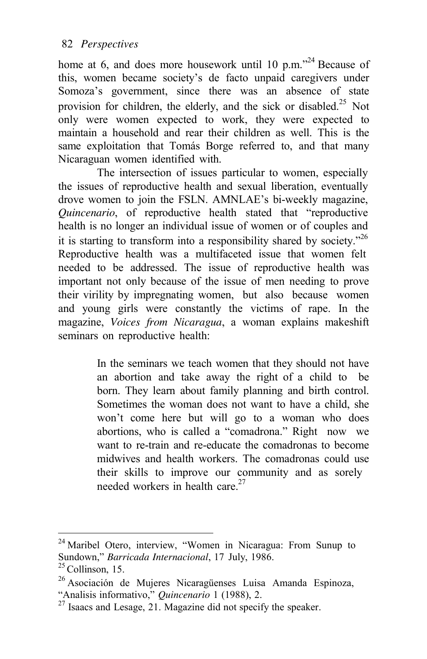home at 6, and does more housework until 10 p.m.<sup> $24$ </sup> Because of this, women became society's de facto unpaid caregivers under Somoza's government, since there was an absence of state provision for children, the elderly, and the sick or disabled.<sup>25</sup> Not only were women expected to work, they were expected to maintain a household and rear their children as well. This is the same exploitation that Tomás Borge referred to, and that many Nicaraguan women identified with.

The intersection of issues particular to women, especially the issues of reproductive health and sexual liberation, eventually drove women to join the FSLN. AMNLAE's bi-weekly magazine, *Quincenario*, of reproductive health stated that "reproductive health is no longer an individual issue of women or of couples and it is starting to transform into a responsibility shared by society."<sup>26</sup> Reproductive health was a multifaceted issue that women felt needed to be addressed. The issue of reproductive health was important not only because of the issue of men needing to prove their virility by impregnating women, but also because women and young girls were constantly the victims of rape. In the magazine, *Voices from Nicaragua*, a woman explains makeshift seminars on reproductive health:

> In the seminars we teach women that they should not have an abortion and take away the right of a child to be born. They learn about family planning and birth control. Sometimes the woman does not want to have a child, she won't come here but will go to a woman who does abortions, who is called a "comadrona." Right now we want to re-train and re-educate the comadronas to become midwives and health workers. The comadronas could use their skills to improve our community and as sorely needed workers in health care.<sup>27</sup>

<sup>&</sup>lt;sup>24</sup> Maribel Otero, interview, "Women in Nicaragua: From Sunup to Sundown," *Barricada Internacional*, 17 July, 1986.<br><sup>25</sup> Collinson, 15.

<sup>&</sup>lt;sup>26</sup> Asociación de Mujeres Nicaragüenses Luisa Amanda Espinoza, "Analisis informativo," Quincenario 1 (1988), 2.

<sup>&</sup>lt;sup>27</sup> Isaacs and Lesage, 21. Magazine did not specify the speaker.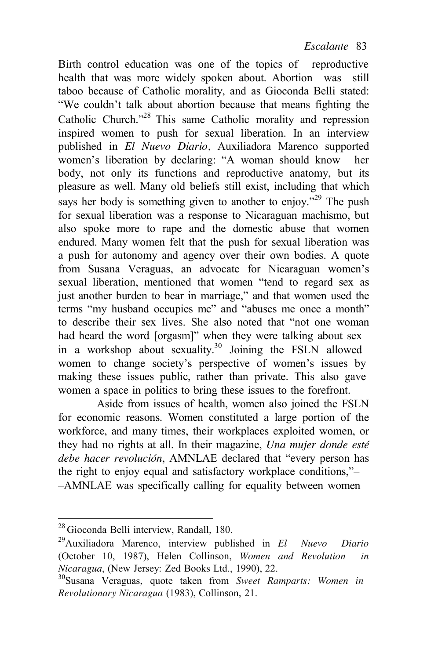Birth control education was one of the topics of reproductive health that was more widely spoken about. Abortion was still taboo because of Catholic morality, and as Gioconda Belli stated: "We couldn't talk about abortion because that means fighting the Catholic Church."28 This same Catholic morality and repression inspired women to push for sexual liberation. In an interview published in *El Nuevo Diario,* Auxiliadora Marenco supported women's liberation by declaring: "A woman should know her body, not only its functions and reproductive anatomy, but its pleasure as well. Many old beliefs still exist, including that which says her body is something given to another to enjoy."<sup>29</sup> The push for sexual liberation was a response to Nicaraguan machismo, but also spoke more to rape and the domestic abuse that women endured. Many women felt that the push for sexual liberation was a push for autonomy and agency over their own bodies. A quote from Susana Veraguas, an advocate for Nicaraguan women's sexual liberation, mentioned that women "tend to regard sex as just another burden to bear in marriage," and that women used the terms "my husband occupies me" and "abuses me once a month" to describe their sex lives. She also noted that "not one woman had heard the word [orgasm]" when they were talking about sex in a workshop about sexuality.<sup>30</sup> Joining the FSLN allowed women to change society's perspective of women's issues by making these issues public, rather than private. This also gave women a space in politics to bring these issues to the forefront.

Aside from issues of health, women also joined the FSLN for economic reasons. Women constituted a large portion of the workforce, and many times, their workplaces exploited women, or they had no rights at all. In their magazine, *Una mujer donde esté debe hacer revolución*, AMNLAE declared that "every person has the right to enjoy equal and satisfactory workplace conditions,"– –AMNLAE was specifically calling for equality between women

<sup>28</sup> Gioconda Belli interview, Randall, 180.

<sup>29</sup>Auxiliadora Marenco, interview published in *El Nuevo Diario*  (October 10, 1987), Helen Collinson, *Women and Revolution in Nicaragua*, (New Jersey: Zed Books Ltd., 1990), 22.<br><sup>30</sup>Susana Veraguas, quote taken from *Sweet Ramparts: Women in* 

*Revolutionary Nicaragua* (1983), Collinson, 21.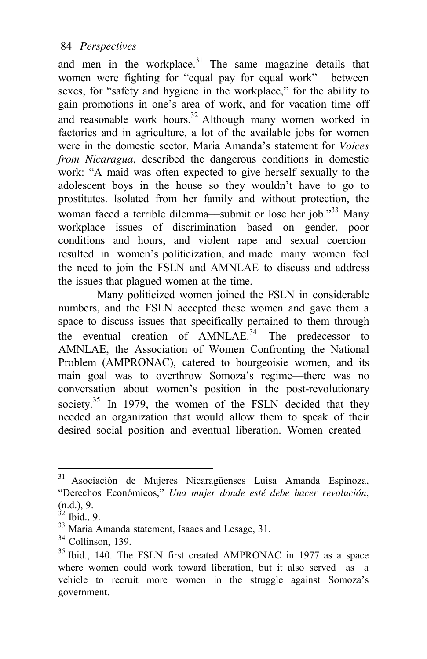and men in the workplace.<sup>31</sup> The same magazine details that women were fighting for "equal pay for equal work" between sexes, for "safety and hygiene in the workplace," for the ability to gain promotions in one's area of work, and for vacation time off and reasonable work hours.<sup>32</sup> Although many women worked in factories and in agriculture, a lot of the available jobs for women were in the domestic sector. Maria Amanda's statement for *Voices from Nicaragua*, described the dangerous conditions in domestic work: "A maid was often expected to give herself sexually to the adolescent boys in the house so they wouldn't have to go to prostitutes. Isolated from her family and without protection, the woman faced a terrible dilemma—submit or lose her job."<sup>33</sup> Many workplace issues of discrimination based on gender, poor conditions and hours, and violent rape and sexual coercion resulted in women's politicization, and made many women feel the need to join the FSLN and AMNLAE to discuss and address the issues that plagued women at the time.

Many politicized women joined the FSLN in considerable numbers, and the FSLN accepted these women and gave them a space to discuss issues that specifically pertained to them through the eventual creation of  $AMNLAE^{34}$  The predecessor to AMNLAE, the Association of Women Confronting the National Problem (AMPRONAC), catered to bourgeoisie women, and its main goal was to overthrow Somoza's regime––there was no conversation about women's position in the post-revolutionary society. $35$  In 1979, the women of the FSLN decided that they needed an organization that would allow them to speak of their desired social position and eventual liberation. Women created

<sup>31</sup> Asociación de Mujeres Nicaragüenses Luisa Amanda Espinoza, "Derechos Económicos," *Una mujer donde esté debe hacer revolución*, (n.d.), 9.<br><sup>32</sup> Ibid., 9.

<sup>&</sup>lt;sup>33</sup> Maria Amanda statement, Isaacs and Lesage, 31.

 $34$  Collinson, 139.

<sup>&</sup>lt;sup>35</sup> Ibid., 140. The FSLN first created AMPRONAC in 1977 as a space where women could work toward liberation, but it also served as a vehicle to recruit more women in the struggle against Somoza's government.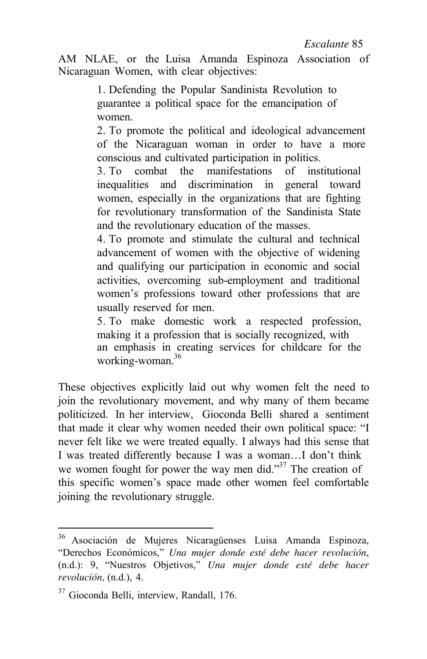*Escalante*

AM NLAE, or the Luisa Amanda Espinoza Association of Nicaraguan Women, with clear objectives:

> 1. Defending the Popular Sandinista Revolution to guarantee a political space for the emancipation of women.

2. To promote the political and ideological advancement of the Nicaraguan woman in order to have a more conscious and cultivated participation in politics.

3. To combat the manifestations of institutional inequalities and discrimination in general toward women, especially in the organizations that are fighting for revolutionary transformation of the Sandinista State and the revolutionary education of the masses.

4. To promote and stimulate the cultural and technical advancement of women with the objective of widening and qualifying our participation in economic and social activities, overcoming sub-employment and traditional women's professions toward other professions that are usually reserved for men.

5. To make domestic work a respected profession, making it a profession that is socially recognized, with an emphasis in creating services for childcare for the working-woman.<sup>36</sup>

These objectives explicitly laid out why women felt the need to join the revolutionary movement, and why many of them became politicized. In her interview, Gioconda Belli shared a sentiment that made it clear why women needed their own political space: "I never felt like we were treated equally. I always had this sense that I was treated differently because I was a woman…I don't think we women fought for power the way men did."<sup>37</sup> The creation of this specific women's space made other women feel comfortable joining the revolutionary struggle.

<sup>36</sup> Asociación de Mujeres Nicaragüenses Luisa Amanda Espinoza, "Derechos Económicos," *Una mujer donde esté debe hacer revolución*, (n.d.): 9, "Nuestros Objetivos," *Una mujer donde esté debe hacer revolución,* (n.d.), 4.

<sup>&</sup>lt;sup>37</sup> Gioconda Belli, interview, Randall, 176.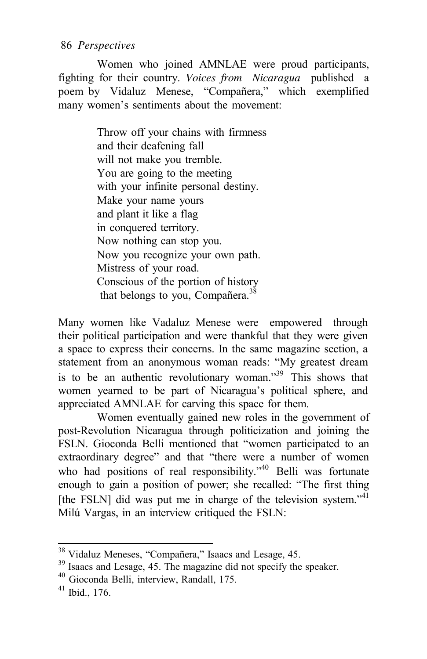Women who joined AMNLAE were proud participants, fighting for their country. *Voices from Nicaragua* published a poem by Vidaluz Menese, "Compañera," which exemplified many women's sentiments about the movement:

> Throw off your chains with firmness and their deafening fall will not make you tremble. You are going to the meeting with your infinite personal destiny. Make your name yours and plant it like a flag in conquered territory. Now nothing can stop you. Now you recognize your own path. Mistress of your road. Conscious of the portion of history that belongs to you, Compañera.<sup>38</sup>

Many women like Vadaluz Menese were empowered through their political participation and were thankful that they were given a space to express their concerns. In the same magazine section, a statement from an anonymous woman reads: "My greatest dream is to be an authentic revolutionary woman.<sup>39</sup> This shows that women yearned to be part of Nicaragua's political sphere, and appreciated AMNLAE for carving this space for them.

Women eventually gained new roles in the government of post-Revolution Nicaragua through politicization and joining the FSLN. Gioconda Belli mentioned that "women participated to an extraordinary degree" and that "there were a number of women who had positions of real responsibility."<sup>40</sup> Belli was fortunate enough to gain a position of power; she recalled: "The first thing [the FSLN] did was put me in charge of the television system."<sup>41</sup> Milú Vargas, in an interview critiqued the FSLN:

<sup>&</sup>lt;sup>38</sup> Vidaluz Meneses, "Compañera," Isaacs and Lesage, 45.<br><sup>39</sup> Isaacs and Lesage, 45. The magazine did not specify the speaker.<br><sup>40</sup> Gioconda Belli, interview, Randall, 175.<br><sup>41</sup> Ibid., 176.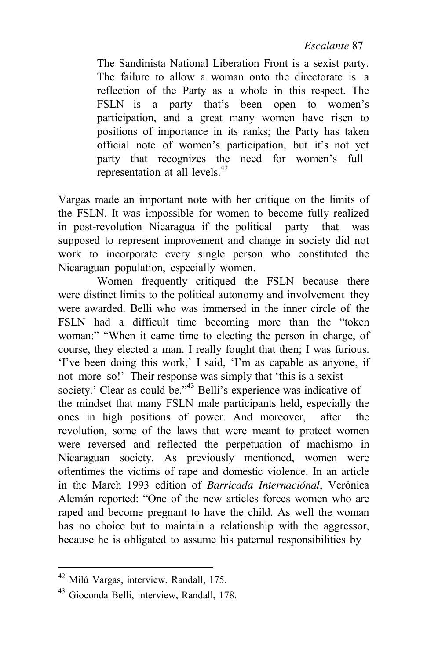*Escalante*

The Sandinista National Liberation Front is a sexist party. The failure to allow a woman onto the directorate is a reflection of the Party as a whole in this respect. The FSLN is a party that's been open to women's participation, and a great many women have risen to positions of importance in its ranks; the Party has taken official note of women's participation, but it's not yet party that recognizes the need for women's full representation at all levels.<sup>42</sup>

Vargas made an important note with her critique on the limits of the FSLN. It was impossible for women to become fully realized in post-revolution Nicaragua if the political party that was supposed to represent improvement and change in society did not work to incorporate every single person who constituted the Nicaraguan population, especially women.

Women frequently critiqued the FSLN because there were distinct limits to the political autonomy and involvement they were awarded. Belli who was immersed in the inner circle of the FSLN had a difficult time becoming more than the "token woman:" "When it came time to electing the person in charge, of course, they elected a man. I really fought that then; I was furious. 'I've been doing this work,' I said, 'I'm as capable as anyone, if not more so!' Their response was simply that 'this is a sexist society.' Clear as could be."<sup>43</sup> Belli's experience was indicative of the mindset that many FSLN male participants held, especially the ones in high positions of power. And moreover, after the revolution, some of the laws that were meant to protect women were reversed and reflected the perpetuation of machismo in Nicaraguan society. As previously mentioned, women were oftentimes the victims of rape and domestic violence. In an article in the March 1993 edition of *Barricada Internaciónal*, Verónica Alemán reported: "One of the new articles forces women who are raped and become pregnant to have the child. As well the woman has no choice but to maintain a relationship with the aggressor, because he is obligated to assume his paternal responsibilities by

<sup>42</sup> Milú Vargas, interview, Randall, 175.

<sup>43</sup> Gioconda Belli, interview, Randall, 178.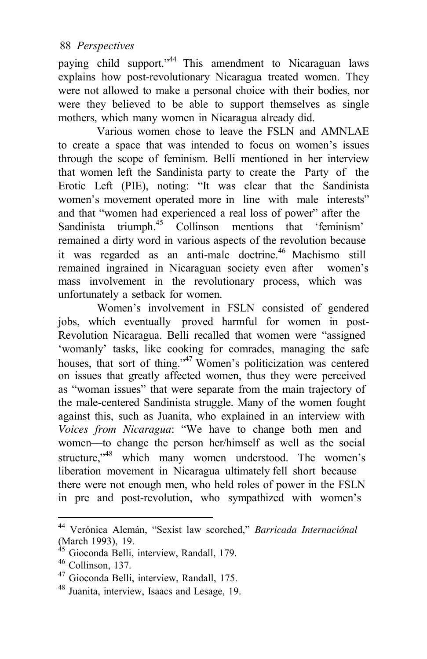paying child support."<sup>44</sup> This amendment to Nicaraguan laws explains how post-revolutionary Nicaragua treated women. They were not allowed to make a personal choice with their bodies, nor were they believed to be able to support themselves as single mothers, which many women in Nicaragua already did.

Various women chose to leave the FSLN and AMNLAE to create a space that was intended to focus on women's issues through the scope of feminism. Belli mentioned in her interview that women left the Sandinista party to create the Party of the Erotic Left (PIE), noting: "It was clear that the Sandinista women's movement operated more in line with male interests" and that "women had experienced a real loss of power" after the Sandinista triumph.<sup>45</sup> Collinson mentions that 'feminism' remained a dirty word in various aspects of the revolution because it was regarded as an anti-male doctrine.<sup>46</sup> Machismo still remained ingrained in Nicaraguan society even after women's mass involvement in the revolutionary process, which was unfortunately a setback for women.

Women's involvement in FSLN consisted of gendered iobs, which eventually proved harmful for women in post-Revolution Nicaragua. Belli recalled that women were "assigned 'womanly' tasks, like cooking for comrades, managing the safe houses, that sort of thing."<sup>47</sup> Women's politicization was centered on issues that greatly affected women, thus they were perceived as "woman issues" that were separate from the main trajectory of the male-centered Sandinista struggle. Many of the women fought against this, such as Juanita, who explained in an interview with *Voices from Nicaragua*: "We have to change both men and women––to change the person her/himself as well as the social structure,<sup>348</sup> which many women understood. The women's liberation movement in Nicaragua ultimately fell short because there were not enough men, who held roles of power in the FSLN in pre and post-revolution, who sympathized with women's

<sup>44</sup> Verónica Alemán, "Sexist law scorched," *Barricada Internaciónal* (March 1993), 19. 45 Gioconda Belli, interview, Randall, 179. 46 Collinson, 137.

<sup>47</sup> Gioconda Belli, interview, Randall, 175.

<sup>48</sup> Juanita, interview, Isaacs and Lesage, 19.